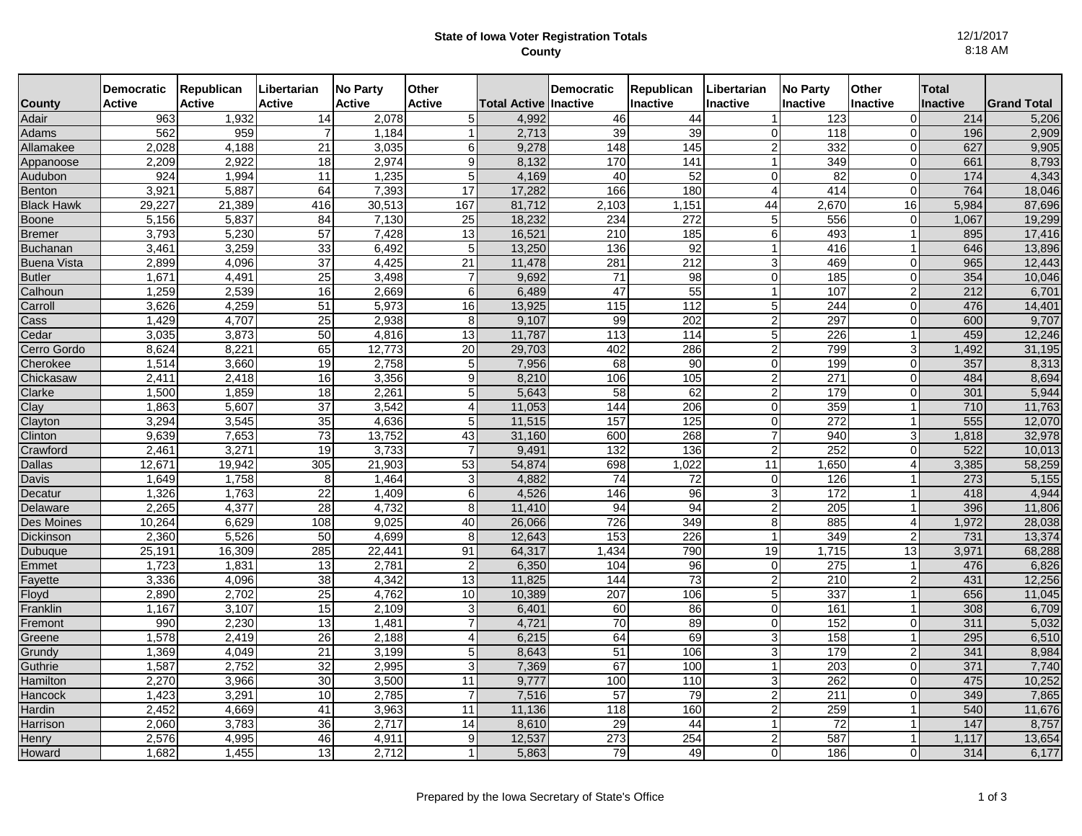## **State of Iowa Voter Registration Totals County**

12/1/2017 8:18 AM

|                                                                                                                                        | <b>Democratic</b>                                                                                               | Republican                                                                                                        | Libertarian                                                                                                                    | <b>No Party</b>                                                                                                   | <b>Other</b>                                                     |                                                                                                                       | <b>Democratic</b>                                                                            | Republican                                                                       | Libertarian                                                                     | <b>No Party</b>                                                                        | Other                                                               | Total                                                                                     |                                                      |
|----------------------------------------------------------------------------------------------------------------------------------------|-----------------------------------------------------------------------------------------------------------------|-------------------------------------------------------------------------------------------------------------------|--------------------------------------------------------------------------------------------------------------------------------|-------------------------------------------------------------------------------------------------------------------|------------------------------------------------------------------|-----------------------------------------------------------------------------------------------------------------------|----------------------------------------------------------------------------------------------|----------------------------------------------------------------------------------|---------------------------------------------------------------------------------|----------------------------------------------------------------------------------------|---------------------------------------------------------------------|-------------------------------------------------------------------------------------------|------------------------------------------------------|
| <b>County</b>                                                                                                                          | Active                                                                                                          | <b>Active</b>                                                                                                     | <b>Active</b>                                                                                                                  | <b>Active</b>                                                                                                     | <b>Active</b>                                                    | <b>Total Active Inactive</b>                                                                                          |                                                                                              | Inactive                                                                         | <b>Inactive</b>                                                                 | <b>Inactive</b>                                                                        | <b>Inactive</b>                                                     | <b>Inactive</b>                                                                           | <b>Grand Total</b>                                   |
| Adair                                                                                                                                  | 963                                                                                                             | 1,932                                                                                                             | 14                                                                                                                             | 2,078                                                                                                             | $5\overline{)}$                                                  | 4,992                                                                                                                 | 46                                                                                           | 44                                                                               |                                                                                 | 123                                                                                    | $\Omega$                                                            | 214                                                                                       | 5,206                                                |
| Adams                                                                                                                                  | 562                                                                                                             | 959                                                                                                               |                                                                                                                                | 1,184                                                                                                             |                                                                  | 2,713                                                                                                                 | 39                                                                                           | 39                                                                               | 0                                                                               | 118                                                                                    | $\overline{0}$                                                      | 196                                                                                       | 2,909                                                |
| Allamakee                                                                                                                              | 2,028                                                                                                           | 4,188                                                                                                             | 21                                                                                                                             | 3,035                                                                                                             | 6                                                                | 9,278                                                                                                                 | 148                                                                                          | 145                                                                              |                                                                                 | 332                                                                                    | 0                                                                   | 627                                                                                       | 9,905                                                |
| Appanoose                                                                                                                              | 2,209                                                                                                           | 2,922                                                                                                             | 18                                                                                                                             | 2,974                                                                                                             | 9                                                                | 8,132                                                                                                                 | 170                                                                                          | 141                                                                              |                                                                                 | 349                                                                                    | 0                                                                   | 661                                                                                       | 8,793                                                |
| Audubon                                                                                                                                | 924                                                                                                             | 1,994                                                                                                             | 11                                                                                                                             | 1,235                                                                                                             | $5\overline{)}$                                                  | 4,169                                                                                                                 | 40                                                                                           | 52                                                                               | $\Omega$                                                                        | 82                                                                                     | $\overline{0}$                                                      | 174                                                                                       | 4,343                                                |
| Benton                                                                                                                                 | 3,921                                                                                                           | 5,887                                                                                                             | 64                                                                                                                             | 7,393                                                                                                             | 17                                                               | 17,282                                                                                                                | 166                                                                                          | 180                                                                              | 4                                                                               | 414                                                                                    | $\Omega$                                                            | 764                                                                                       | 18,046                                               |
| <b>Black Hawk</b>                                                                                                                      | 29,227                                                                                                          | 21,389                                                                                                            | 416                                                                                                                            | 30,513                                                                                                            | 167                                                              | 81,712                                                                                                                | 2,103                                                                                        | 1,151                                                                            | 44                                                                              | 2,670                                                                                  | 16                                                                  | 5,984                                                                                     | 87,696                                               |
| <b>Boone</b>                                                                                                                           | 5,156                                                                                                           | 5,837                                                                                                             | 84                                                                                                                             | 7,130                                                                                                             | 25                                                               | 18,232                                                                                                                | 234                                                                                          | 272                                                                              | 5                                                                               | 556                                                                                    | $\overline{0}$                                                      | 1,067                                                                                     | 19,299                                               |
| <b>Bremer</b>                                                                                                                          | 3,793                                                                                                           | 5,230                                                                                                             | 57                                                                                                                             | 7,428                                                                                                             | 13                                                               | 16,521                                                                                                                | 210                                                                                          | 185                                                                              | 6                                                                               | 493                                                                                    | $\mathbf 1$                                                         | 895                                                                                       | 17,416                                               |
| <b>Buchanan</b>                                                                                                                        | 3,461                                                                                                           | 3,259                                                                                                             | 33                                                                                                                             | 6,492                                                                                                             | 5                                                                | 13,250                                                                                                                | 136                                                                                          | 92                                                                               |                                                                                 | 416                                                                                    |                                                                     | 646                                                                                       | 13,896                                               |
| <b>Buena Vista</b>                                                                                                                     | 2,899                                                                                                           | 4,096                                                                                                             | 37                                                                                                                             | 4,425                                                                                                             | 21                                                               | 11,478                                                                                                                | 281                                                                                          | 212                                                                              | 3                                                                               | 469                                                                                    | 0                                                                   | 965                                                                                       | 12,443                                               |
| <b>Butler</b>                                                                                                                          | 1,671                                                                                                           | 4,491                                                                                                             | 25                                                                                                                             | 3,498                                                                                                             |                                                                  | 9,692                                                                                                                 | $\overline{71}$                                                                              | 98                                                                               | 0                                                                               | 185                                                                                    | 0                                                                   | 354                                                                                       | 10,046                                               |
| Calhoun                                                                                                                                | 1,259<br>3,626                                                                                                  | 2,539<br>4,259                                                                                                    | 16                                                                                                                             | 2,669<br>5,973                                                                                                    | 6                                                                | 6,489<br>13,925                                                                                                       | 47<br>115                                                                                    | 55<br>$\frac{1}{12}$                                                             | 1                                                                               | 107<br>244                                                                             | $\overline{2}$                                                      | 212<br>476                                                                                | 6,701                                                |
| Carroll                                                                                                                                | 1.429                                                                                                           | 4.707                                                                                                             | 51<br>25                                                                                                                       | 2,938                                                                                                             | 16<br>8                                                          | 9,107                                                                                                                 | 99                                                                                           | 202                                                                              | 5<br>$\overline{2}$                                                             | 297                                                                                    | $\overline{0}$<br>$\overline{0}$                                    | 600                                                                                       | 14,401<br>9,707                                      |
| Cass<br>Cedar                                                                                                                          | 3,035                                                                                                           | 3,873                                                                                                             | 50                                                                                                                             | 4,816                                                                                                             | 13                                                               | 11,787                                                                                                                | 113                                                                                          | 114                                                                              | 5                                                                               | 226                                                                                    | 1                                                                   | 459                                                                                       | 12,246                                               |
| Cerro Gordo                                                                                                                            | 8,624                                                                                                           | 8,221                                                                                                             | 65                                                                                                                             | 12,773                                                                                                            | 20                                                               | 29,703                                                                                                                | 402                                                                                          | 286                                                                              | 2                                                                               | 799                                                                                    | 3                                                                   | 1,492                                                                                     | 31,195                                               |
| Cherokee                                                                                                                               | 1,514                                                                                                           | 3,660                                                                                                             | 19                                                                                                                             | 2,758                                                                                                             | 5                                                                | 7,956                                                                                                                 | 68                                                                                           | 90                                                                               | 0                                                                               | 199                                                                                    | $\Omega$                                                            | 357                                                                                       | 8,313                                                |
| Chickasaw                                                                                                                              | 2,411                                                                                                           | 2,418                                                                                                             | 16                                                                                                                             | 3,356                                                                                                             | 9 <sub>l</sub>                                                   | 8,210                                                                                                                 | 106                                                                                          | 105                                                                              | 2                                                                               | 271                                                                                    | $\overline{0}$                                                      | 484                                                                                       | 8,694                                                |
| Clarke                                                                                                                                 | 1,500                                                                                                           | 1,859                                                                                                             | 18                                                                                                                             | 2,261                                                                                                             | 5                                                                | 5,643                                                                                                                 | $\overline{58}$                                                                              | 62                                                                               | 2                                                                               | 179                                                                                    | $\Omega$                                                            | 301                                                                                       | 5,944                                                |
| Clay                                                                                                                                   | 1,863                                                                                                           | 5,607                                                                                                             | 37                                                                                                                             | 3,542                                                                                                             | $\overline{4}$                                                   | 11,053                                                                                                                | 144                                                                                          | 206                                                                              | 0                                                                               | 359                                                                                    | 1                                                                   | 710                                                                                       | 11,763                                               |
| Clayton                                                                                                                                | 3,294                                                                                                           | 3,545                                                                                                             | 35                                                                                                                             | 4,636                                                                                                             | 5                                                                | 11,515                                                                                                                | 157                                                                                          | 125                                                                              | 0                                                                               | 272                                                                                    | 1                                                                   | 555                                                                                       | 12,070                                               |
| Clinton                                                                                                                                | 9,639                                                                                                           | 7,653                                                                                                             | 73                                                                                                                             | 13,752                                                                                                            | 43                                                               | 31,160                                                                                                                | 600                                                                                          | 268                                                                              | 7                                                                               | 940                                                                                    | 3                                                                   | 1,818                                                                                     | 32,978                                               |
| Crawford                                                                                                                               | 2.461                                                                                                           | 3,271                                                                                                             | 19                                                                                                                             | 3,733                                                                                                             | $\overline{7}$                                                   | 9,491                                                                                                                 | 132                                                                                          | 136                                                                              | 2                                                                               | 252                                                                                    | $\Omega$                                                            | 522                                                                                       | 10,013                                               |
| <b>Dallas</b>                                                                                                                          | 12,671                                                                                                          | 19,942                                                                                                            | 305                                                                                                                            | 21,903                                                                                                            | 53                                                               | 54,874                                                                                                                | 698                                                                                          | 1,022                                                                            | 11                                                                              | 1,650                                                                                  | 4                                                                   | 3,385                                                                                     | 58,259                                               |
| Davis                                                                                                                                  | 1,649                                                                                                           | 1,758                                                                                                             | 8                                                                                                                              | 1,464                                                                                                             | 3                                                                | 4,882                                                                                                                 | 74                                                                                           | $\overline{72}$                                                                  | $\Omega$                                                                        | 126                                                                                    |                                                                     | 273                                                                                       | 5,155                                                |
| Decatur                                                                                                                                | 1,326                                                                                                           | 1,763                                                                                                             | $\overline{22}$                                                                                                                | 1,409                                                                                                             | 6                                                                | 4,526                                                                                                                 | 146                                                                                          | 96                                                                               | 3                                                                               | 172                                                                                    | 1                                                                   | 418                                                                                       | 4,944                                                |
| Delaware                                                                                                                               | 2,265                                                                                                           | 4,377                                                                                                             | 28                                                                                                                             | 4,732                                                                                                             | 8                                                                | 11,410                                                                                                                | 94                                                                                           | 94                                                                               | 2                                                                               | 205                                                                                    | 1                                                                   | 396                                                                                       | 11,806                                               |
| Des Moines                                                                                                                             | 10,264                                                                                                          | 6,629                                                                                                             | 108                                                                                                                            | 9,025                                                                                                             | 40                                                               | 26,066                                                                                                                | 726                                                                                          | 349                                                                              | 8                                                                               | 885                                                                                    | 4                                                                   | 1,972                                                                                     | 28,038                                               |
| Dickinson                                                                                                                              | 2,360                                                                                                           | 5,526                                                                                                             | 50                                                                                                                             | 4,699                                                                                                             | 8                                                                | 12,643                                                                                                                | 153                                                                                          | 226                                                                              | 1                                                                               | 349                                                                                    | 2                                                                   | 731                                                                                       | 13,374                                               |
| <b>Dubuque</b>                                                                                                                         | 25,191                                                                                                          | 16,309                                                                                                            | 285                                                                                                                            | 22,441                                                                                                            | 91                                                               | 64,317                                                                                                                | 1,434                                                                                        | 790                                                                              | 19                                                                              | 1,715                                                                                  | 13                                                                  | 3,971                                                                                     | 68,288                                               |
| Emmet                                                                                                                                  | 1,723                                                                                                           | 1,831                                                                                                             | 13                                                                                                                             | 2,781                                                                                                             | $\overline{2}$                                                   | 6,350                                                                                                                 | 104                                                                                          | 96                                                                               | 0                                                                               | 275                                                                                    |                                                                     | 476                                                                                       | 6,826                                                |
|                                                                                                                                        |                                                                                                                 |                                                                                                                   |                                                                                                                                |                                                                                                                   |                                                                  |                                                                                                                       |                                                                                              |                                                                                  |                                                                                 |                                                                                        |                                                                     |                                                                                           | 12,256                                               |
|                                                                                                                                        |                                                                                                                 |                                                                                                                   |                                                                                                                                |                                                                                                                   |                                                                  |                                                                                                                       |                                                                                              |                                                                                  |                                                                                 |                                                                                        |                                                                     |                                                                                           |                                                      |
|                                                                                                                                        |                                                                                                                 |                                                                                                                   |                                                                                                                                |                                                                                                                   |                                                                  |                                                                                                                       |                                                                                              |                                                                                  |                                                                                 |                                                                                        |                                                                     |                                                                                           | 6,709                                                |
|                                                                                                                                        |                                                                                                                 |                                                                                                                   |                                                                                                                                |                                                                                                                   |                                                                  |                                                                                                                       |                                                                                              |                                                                                  |                                                                                 |                                                                                        |                                                                     |                                                                                           |                                                      |
|                                                                                                                                        |                                                                                                                 |                                                                                                                   |                                                                                                                                |                                                                                                                   |                                                                  |                                                                                                                       |                                                                                              |                                                                                  |                                                                                 |                                                                                        |                                                                     |                                                                                           |                                                      |
|                                                                                                                                        |                                                                                                                 |                                                                                                                   |                                                                                                                                |                                                                                                                   |                                                                  |                                                                                                                       |                                                                                              |                                                                                  |                                                                                 |                                                                                        |                                                                     |                                                                                           |                                                      |
|                                                                                                                                        |                                                                                                                 |                                                                                                                   |                                                                                                                                |                                                                                                                   |                                                                  |                                                                                                                       |                                                                                              |                                                                                  |                                                                                 |                                                                                        |                                                                     |                                                                                           |                                                      |
|                                                                                                                                        |                                                                                                                 |                                                                                                                   |                                                                                                                                |                                                                                                                   |                                                                  |                                                                                                                       |                                                                                              |                                                                                  |                                                                                 |                                                                                        |                                                                     |                                                                                           | 7,865                                                |
|                                                                                                                                        |                                                                                                                 |                                                                                                                   |                                                                                                                                |                                                                                                                   |                                                                  |                                                                                                                       |                                                                                              |                                                                                  |                                                                                 |                                                                                        |                                                                     |                                                                                           | 11,676                                               |
|                                                                                                                                        |                                                                                                                 |                                                                                                                   |                                                                                                                                |                                                                                                                   |                                                                  |                                                                                                                       |                                                                                              |                                                                                  | 1                                                                               |                                                                                        |                                                                     |                                                                                           | 8,757                                                |
|                                                                                                                                        |                                                                                                                 |                                                                                                                   |                                                                                                                                |                                                                                                                   |                                                                  |                                                                                                                       |                                                                                              |                                                                                  |                                                                                 |                                                                                        |                                                                     |                                                                                           | 13,654                                               |
|                                                                                                                                        |                                                                                                                 |                                                                                                                   |                                                                                                                                |                                                                                                                   | 1                                                                |                                                                                                                       |                                                                                              |                                                                                  |                                                                                 |                                                                                        | ٥l                                                                  |                                                                                           | 6,177                                                |
| Fayette<br>Floyd<br>Franklin<br>Fremont<br>Greene<br>Grundy<br>Guthrie<br>Hamilton<br>Hancock<br>Hardin<br>Harrison<br>Henry<br>Howard | 3,336<br>2,890<br>1,167<br>990<br>1,578<br>1,369<br>1,587<br>2,270<br>1,423<br>2,452<br>2,060<br>2,576<br>1,682 | 4,096<br>2,702<br>3,107<br>2,230<br>2,419<br>4,049<br>2,752<br>3,966<br>3,291<br>4,669<br>3,783<br>4,995<br>1,455 | $\overline{38}$<br>25<br>15<br>13<br>$\overline{26}$<br>$\overline{21}$<br>32<br>$\overline{30}$<br>10<br>41<br>36<br>46<br>13 | 4,342<br>4,762<br>2,109<br>1,481<br>2,188<br>3,199<br>2,995<br>3,500<br>2,785<br>3,963<br>2,717<br>4,911<br>2,712 | 13<br>10<br>3<br>$\overline{4}$<br>5<br>3<br>11<br>11<br>14<br>9 | 11,825<br>10,389<br>6,401<br>4,721<br>6,215<br>8,643<br>7,369<br>9,777<br>7,516<br>11,136<br>8,610<br>12,537<br>5,863 | 144<br>207<br>60<br>$\overline{70}$<br>64<br>51<br>67<br>100<br>57<br>118<br>29<br>273<br>79 | 73<br>106<br>86<br>89<br>69<br>106<br>100<br>110<br>79<br>160<br>44<br>254<br>49 | $\overline{2}$<br>5<br>$\Omega$<br>$\overline{0}$<br>3<br>3<br>2<br>2<br>2<br>0 | 210<br>337<br>161<br>152<br>158<br>179<br>203<br>262<br>211<br>259<br>72<br>587<br>186 | 1<br>$\overline{0}$<br>1<br>$\mathfrak{p}$<br>0<br>0<br>0<br>1<br>1 | 431<br>656<br>308<br>311<br>295<br>341<br>371<br>475<br>349<br>540<br>147<br>1,117<br>314 | 11,045<br>5,032<br>6,510<br>8,984<br>7,740<br>10,252 |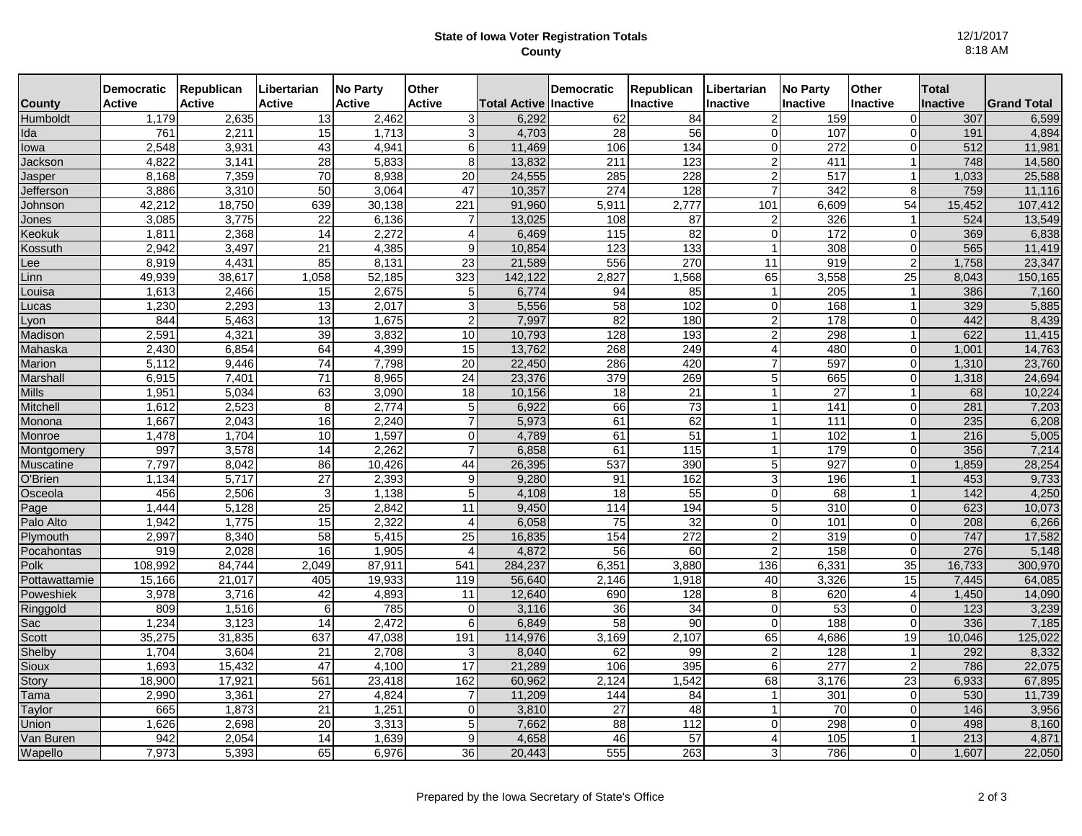## **State of Iowa Voter Registration Totals County**

12/1/2017 8:18 AM

| County                | <b>Democratic</b><br><b>Active</b> | Republican<br><b>Active</b> | Libertarian<br><b>Active</b> | <b>No Party</b><br><b>Active</b> | <b>Other</b><br><b>Active</b>    | <b>Total Active Inactive</b> | <b>Democratic</b>     | Republican<br><b>Inactive</b> | Libertarian<br><b>Inactive</b>   | <b>No Party</b><br><b>Inactive</b> | Other<br>Inactive    | <b>Total</b><br><b>Inactive</b> | <b>Grand Total</b> |
|-----------------------|------------------------------------|-----------------------------|------------------------------|----------------------------------|----------------------------------|------------------------------|-----------------------|-------------------------------|----------------------------------|------------------------------------|----------------------|---------------------------------|--------------------|
| <b>Humboldt</b>       | 1,179                              | 2,635                       | $\overline{13}$              | 2,462                            | 3                                | 6,292                        | 62                    | 84                            |                                  | 159                                | 0                    | 307                             | 6,599              |
| Ida                   | 761                                | 2,21'                       | 15                           | 1,713                            | 3                                | 4,703                        | 28                    | 56                            | 0                                | 107                                | 0                    | 191                             | 4,894              |
| lowa                  | 2,548                              | 3,93'                       | 43                           | 4,941                            | 6                                | 11,469                       | 106                   | 134                           | 0                                | 272                                | 0                    | 512                             | 11,981             |
| Jackson               | 4,822                              | 3.14'                       | 28                           | 5,833                            | 8                                | 13,832                       | 211                   | 123                           | 2                                | 411                                | $\mathbf{1}$         | 748                             | 14,580             |
| Jasper                | 8,168                              | 7,359                       | 70                           | 8,938                            | 20                               | 24,555                       | 285                   | 228                           | 2                                | 517                                | 1                    | 1,033                           | 25,588             |
| Jefferson             | 3,886                              | 3,310                       | 50                           | 3,064                            | 47                               | 10,357                       | 274                   | 128                           |                                  | 342                                | 8                    | 759                             | 11,116             |
| Johnson               | 42,212                             | 18,750                      | 639                          | 30,138                           | 221                              | 91,960                       | 5,911                 | 2,777                         | 101                              | 6,609                              | 54                   | 15,452                          | 107,412            |
| Jones                 | 3,085                              | 3,775                       | 22                           | 6.136                            |                                  | 13.025                       | 108                   | 87                            | 2                                | 326                                | $\overline{1}$       | 524                             | 13,549             |
| Keokuk                | 1,81'                              | 2,368                       | 14                           | 2,272                            | $\overline{4}$                   | 6,469                        | 115                   | 82                            | $\Omega$                         | 172                                | 0                    | 369                             | 6,838              |
| Kossuth               | 2,942                              | 3,497                       | $\overline{21}$              | 4,385                            | 9                                | 10,854                       | 123                   | 133                           |                                  | 308                                | 0                    | 565                             | 11,419             |
| ee                    | 8,919                              | 4,431                       | 85                           | 8,131                            | 23                               | 21,589                       | 556                   | 270                           | 11                               | 919                                | 2                    | 1,758                           | 23,347             |
| Linn                  | 49,939                             | 38,617                      | 1,058                        | 52,185                           | 323                              | 142,122                      | 2,827                 | 1,568                         | 65                               | 3,558                              | 25                   | 8,043                           | 150,165            |
| Louisa                | 1,613                              | 2,466                       | 15                           | 2,675                            | 5                                | 6,774                        | 94                    | 85                            | 1                                | 205                                | -1                   | 386                             | 7,160              |
| Lucas                 | 1,230                              | 2,293                       | 13                           | 2,017                            | $\overline{3}$<br>$\overline{2}$ | 5,556                        | $\overline{58}$<br>82 | 102                           | $\overline{0}$<br>$\overline{2}$ | 168                                | $\mathbf 1$          | 329<br>442                      | 5,885              |
| _von<br>Madison       | 844<br>2,591                       | 5,463<br>4,321              | 13<br>39                     | 1.675                            | 10                               | 7,997<br>10.793              | 128                   | 180<br>193                    | 2                                | 178<br>298                         | 0<br>1               | 622                             | 8,439<br>11,415    |
| Mahaska               | 2,430                              | 6,854                       | 64                           | 3,832<br>4,399                   | 15                               | 13,762                       | 268                   | 249                           |                                  | 480                                | 0                    | 1,001                           | 14,763             |
| Marion                | 5,112                              | 9,446                       | 74                           | 7,798                            | 20                               | 22,450                       | 286                   | 420                           |                                  | 597                                | 0                    | 1,310                           | 23,760             |
| Marshal               | 6,915                              | 7,401                       | 71                           | 8,965                            | $\overline{24}$                  | 23,376                       | 379                   | 269                           | 5                                | 665                                | 0                    | 1,318                           | 24,694             |
| Mills                 | 1,951                              | 5,034                       | 63                           | 3,090                            | 18                               | 10,156                       | $\overline{18}$       | 21                            | $\mathbf{1}$                     | 27                                 | 1                    | 68                              | 10,224             |
| Mitchell              | 1,612                              | 2,523                       | 8                            | 2,774                            | 5                                | 6,922                        | 66                    | 73                            | 1                                | 141                                | 0                    | 281                             | 7,203              |
| Monona                | 1,667                              | 2,043                       | 16                           | 2,240                            | $\overline{7}$                   | 5,973                        | 61                    | 62                            | $\blacktriangleleft$             | 111                                | 0                    | 235                             | 6,208              |
| Monroe                | 1,478                              | 1.704                       | 10                           | 1,597                            | $\overline{0}$                   | 4,789                        | 61                    | 51                            | $\mathbf{1}$                     | 102                                | 1                    | 216                             | 5,005              |
| Montgomery            | 997                                | 3,578                       | 14                           | 2,262                            |                                  | 6,858                        | 61                    | 115                           |                                  | 179                                | 0                    | 356                             | 7,214              |
| Muscatine             | 7,797                              | 8,042                       | 86                           | 10,426                           | 44                               | 26,395                       | 537                   | 390                           | 5                                | 927                                | 0                    | 1,859                           | 28,254             |
| O'Brien               | 1,134                              | 5,717                       | 27                           | 2,393                            | 9                                | 9,280                        | 91                    | 162                           | 3                                | 196                                |                      | 453                             | 9,733              |
| Osceola               | 456                                | 2,506                       | 3                            | 1,138                            | 5                                | 4,108                        | 18                    | 55                            | $\overline{0}$                   | 68                                 | 1                    | 142                             | 4,250              |
| Page                  | 1,444                              | 5,128                       | 25                           | 2,842                            | 11                               | 9,450                        | 114                   | 194                           | 5                                | 310                                | 0                    | 623                             | 10,073             |
| Palo Alto             | 1,942                              | 1,775                       | 15                           | 2,322                            | $\overline{4}$                   | 6,058                        | 75                    | 32                            | 0                                | 101                                | 0                    | 208                             | 6,266              |
| Plymouth              | 2,997                              | 8,340                       | 58                           | 5,415                            | 25                               | 16,835                       | 154                   | 272                           | $\overline{2}$                   | 319                                | 0                    | 747                             | 17,582             |
| Pocahontas            | 919                                | 2.028                       | 16                           | 1,905                            | Δ                                | 4,872                        | 56                    | 60                            | 2                                | 158                                | $\Omega$             | 276                             | 5,148              |
| Polk                  | 108,992                            | 84,744                      | 2,049                        | 87,911                           | 541                              | 284,237                      | 6,351                 | 3,880                         | 136                              | 6,331                              | 35                   | 16,733                          | 300,970            |
| Pottawattamie         | 15,166                             | 21,017                      | 405                          | 19,933                           | 119                              | 56,640                       | 2,146                 | 1,918                         | 40                               | 3,326                              | 15                   | 7,445                           | 64,085             |
| Poweshiek             | 3,978                              | 3,716                       | 42                           | 4,893                            | 11                               | 12,640                       | 690                   | 128                           | 8                                | 620                                | 4                    | 1,450                           | 14,090             |
| Ringgold              | 809                                | 1,516                       | 6                            | 785                              | $\overline{0}$                   | 3,116                        | 36                    | 34                            | $\Omega$                         | 53                                 | 0                    | 123                             | 3,239              |
| Sac                   | 1.234                              | 3,123                       | 14                           | 2,472                            | 6                                | 6,849                        | 58                    | 90                            | $\Omega$<br>65                   | 188                                | 0                    | 336                             | 7,185              |
| Scott                 | 35,275                             | 31,835                      | 637                          | 47,038                           | 191<br>3                         | 114,976                      | 3,169                 | 2,107<br>99                   | $\mathfrak{p}$                   | 4,686                              | 19<br>$\overline{1}$ | 10,046<br>292                   | 125,022            |
| Shelby                | 1.704                              | 3.604                       | $\overline{21}$<br>47        | 2,708<br>4.100                   | 17                               | 8,040<br>21.289              | 62<br>106             | 395                           | 6                                | 128<br>277                         | $\overline{2}$       | 786                             | 8,332<br>22,075    |
| <b>Sioux</b><br>Story | 1,693<br>18,900                    | 15,432<br>17,92             | 561                          | 23,418                           | 162                              | 60,962                       | 2,124                 | 1,542                         | 68                               | 3,176                              | 23                   | 6,933                           | 67,895             |
| Tama                  | 2,990                              | 3,36'                       | 27                           | 4,824                            | 7                                | 11,209                       | 144                   | 84                            |                                  | 301                                | 0                    | 530                             | 11,739             |
| Taylor                | 665                                | 1,873                       | $\overline{21}$              | 1,251                            | $\overline{0}$                   | 3,810                        | $\overline{27}$       | 48                            |                                  | 70                                 | 0                    | 146                             | 3,956              |
| Union                 | 1,626                              | 2,698                       | 20                           | 3,313                            | 5                                | 7,662                        | 88                    | 112                           | $\overline{0}$                   | 298                                | 0                    | 498                             | 8,160              |
| Van Buren             | 942                                | 2,054                       | 14                           | 1,639                            | 9 <sub>l</sub>                   | 4,658                        | 46                    | $\overline{57}$               | 4                                | $\frac{105}{2}$                    | 1                    | $\overline{213}$                | 4,871              |
| Wapello               | 7,973                              | 5,393                       | 65                           | 6,976                            | 36                               | 20,443                       | 555                   | 263                           | 3                                | 786                                | 0                    | 1,607                           | 22,050             |